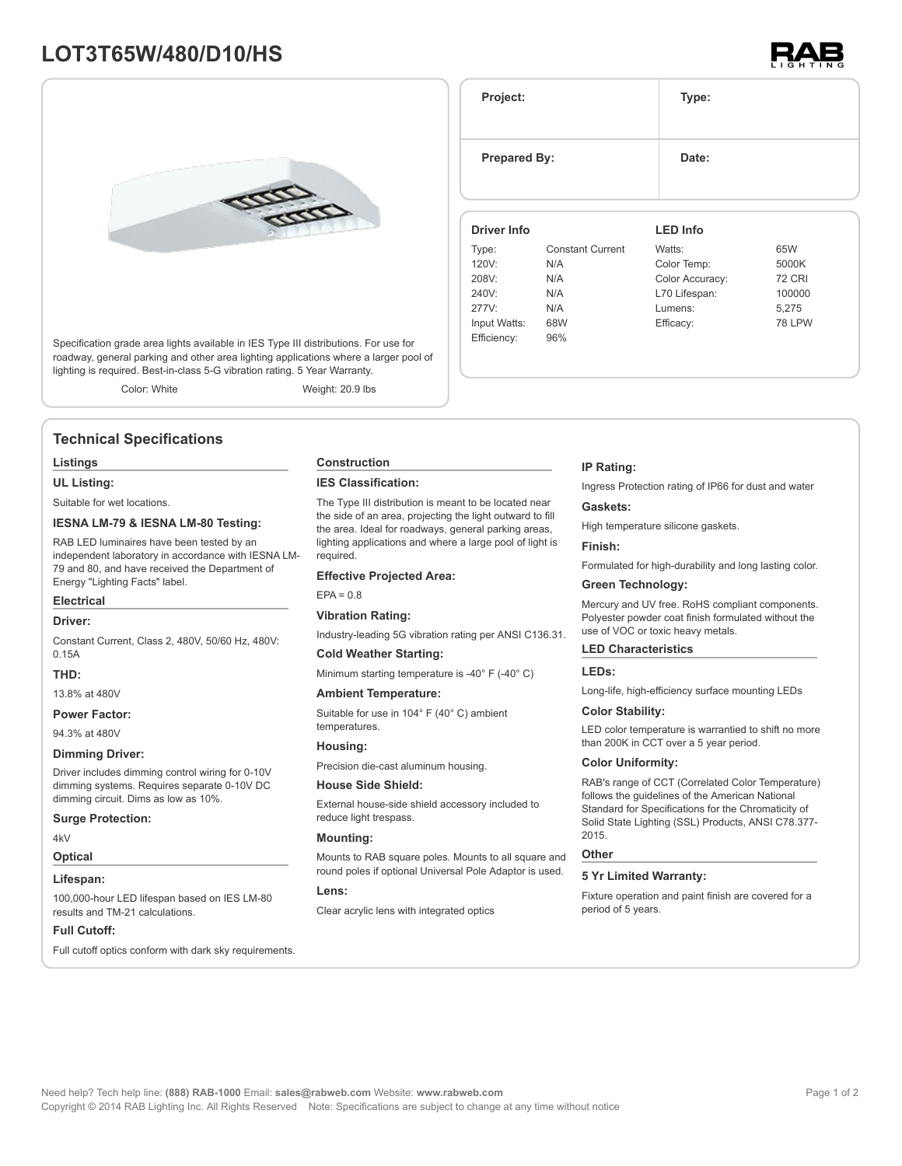# **LOT3T65W/480/D10/HS**



Specification grade area lights available in IES Type III distributions. For use for roadway, general parking and other area lighting applications where a larger pool of lighting is required. Best-in-class 5-G vibration rating. 5 Year Warranty.

Color: White Weight: 20.9 lbs

## **Technical Specifications**

#### **Listings**

**UL Listing:**

Suitable for wet locations.

#### **IESNA LM-79 & IESNA LM-80 Testing:**

RAB LED luminaires have been tested by an independent laboratory in accordance with IESNA LM-79 and 80, and have received the Department of Energy "Lighting Facts" label.

### **Electrical**

### **Driver:**

Constant Current, Class 2, 480V, 50/60 Hz, 480V: 0.15A

### **THD:**

13.8% at 480V

**Power Factor:**

94.3% at 480V

### **Dimming Driver:**

Driver includes dimming control wiring for 0-10V dimming systems. Requires separate 0-10V DC dimming circuit. Dims as low as 10%.

#### **Surge Protection:**

4kV

### **Optical**

### **Lifespan:**

100,000-hour LED lifespan based on IES LM-80 results and TM-21 calculations.

#### **Full Cutoff:**

Full cutoff optics conform with dark sky requirements.

#### **Construction**

#### **IES Classification:**

The Type III distribution is meant to be located near the side of an area, projecting the light outward to fill the area. Ideal for roadways, general parking areas, lighting applications and where a large pool of light is required.

#### **Effective Projected Area:**

 $EPA = 0.8$ 

#### **Vibration Rating:**

Industry-leading 5G vibration rating per ANSI C136.31.

#### **Cold Weather Starting:**

Minimum starting temperature is -40° F (-40° C)

#### **Ambient Temperature:**

Suitable for use in 104° F (40° C) ambient temperatures.

#### **Housing:**

Precision die-cast aluminum housing.

#### **House Side Shield:**

External house-side shield accessory included to reduce light trespass.

#### **Mounting:**

Mounts to RAB square poles. Mounts to all square and round poles if optional Universal Pole Adaptor is used.

#### **Lens:**

Clear acrylic lens with integrated optics

#### **IP Rating:**

Ingress Protection rating of IP66 for dust and water

#### **Gaskets:**

High temperature silicone gaskets.

#### **Finish:**

Formulated for high-durability and long lasting color.

### **Green Technology:**

Mercury and UV free. RoHS compliant components. Polyester powder coat finish formulated without the use of VOC or toxic heavy metals.

#### **LED Characteristics**

#### **LEDs:**

Long-life, high-efficiency surface mounting LEDs

#### **Color Stability:**

LED color temperature is warrantied to shift no more than 200K in CCT over a 5 year period.

#### **Color Uniformity:**

RAB's range of CCT (Correlated Color Temperature) follows the guidelines of the American National Standard for Specifications for the Chromaticity of Solid State Lighting (SSL) Products, ANSI C78.377- 2015.

#### **Other**

#### **5 Yr Limited Warranty:**

Fixture operation and paint finish are covered for a period of 5 years.

**Driver Info** Type: Constant Current 120V: N/A **LED Info** Watts: 65W Color Temp: 5000K

**Project: Type:**

**Prepared By:** Date:

| 120V:        | N/A | Color Temp:     | 5000K         |
|--------------|-----|-----------------|---------------|
| 208V:        | N/A | Color Accuracy: | <b>72 CRI</b> |
| 240V:        | N/A | L70 Lifespan:   | 100000        |
| 277V:        | N/A | Lumens:         | 5.275         |
| Input Watts: | 68W | Efficacy:       | <b>78 LPW</b> |
| Efficiency:  | 96% |                 |               |